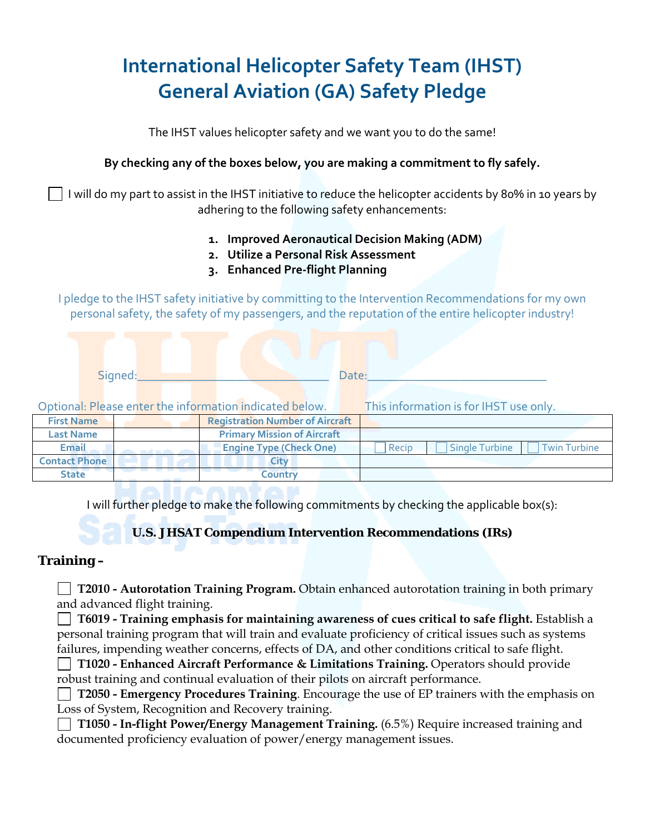# **International Helicopter Safety Team (IHST) General Aviation (GA) Safety Pledge**

The IHST values helicopter safety and we want you to do the same!

### **By checking any of the boxes below, you are making a commitment to fly safely.**

 I will do my part to assist in the IHST initiative to reduce the helicopter accidents by 80% in 10 years by adhering to the following safety enhancements:

- **1. Improved Aeronautical Decision Making (ADM)**
- **2. Utilize a Personal Risk Assessment**
- **3. Enhanced Pre‐flight Planning**

I pledge to the IHST safety initiative by committing to the Intervention Recommendations for my own personal safety, the safety of my passengers, and the reputation of the entire helicopter industry!

|                      | Signed: |  | Date: |                                                         |  |                                                       |
|----------------------|---------|--|-------|---------------------------------------------------------|--|-------------------------------------------------------|
|                      |         |  |       | Optional: Please enter the information indicated below. |  | This information is for IHST use only.                |
| <b>First Name</b>    |         |  |       | <b>Registration Number of Aircraft</b>                  |  |                                                       |
| <b>Last Name</b>     |         |  |       | <b>Primary Mission of Aircraft</b>                      |  |                                                       |
| Email                |         |  |       | <b>Engine Type (Check One)</b>                          |  | <b>Twin Turbine</b><br><b>Single Turbine</b><br>Recip |
| <b>Contact Phone</b> |         |  |       | City                                                    |  |                                                       |
| <b>State</b>         |         |  |       | Country                                                 |  |                                                       |

I will further pledge to make the following commitments by checking the applicable box(s):

# **U.S. JHSAT Compendium Intervention Recommendations (IRs)**

# **Training –**

**T2010 - Autorotation Training Program.** Obtain enhanced autorotation training in both primary and advanced flight training.

 **T6019 - Training emphasis for maintaining awareness of cues critical to safe flight.** Establish a personal training program that will train and evaluate proficiency of critical issues such as systems failures, impending weather concerns, effects of DA, and other conditions critical to safe flight.

 **T1020 - Enhanced Aircraft Performance & Limitations Training.** Operators should provide robust training and continual evaluation of their pilots on aircraft performance.

 **T2050 - Emergency Procedures Training**. Encourage the use of EP trainers with the emphasis on Loss of System, Recognition and Recovery training.

 **T1050 - In-flight Power/Energy Management Training.** (6.5%) Require increased training and documented proficiency evaluation of power/energy management issues.